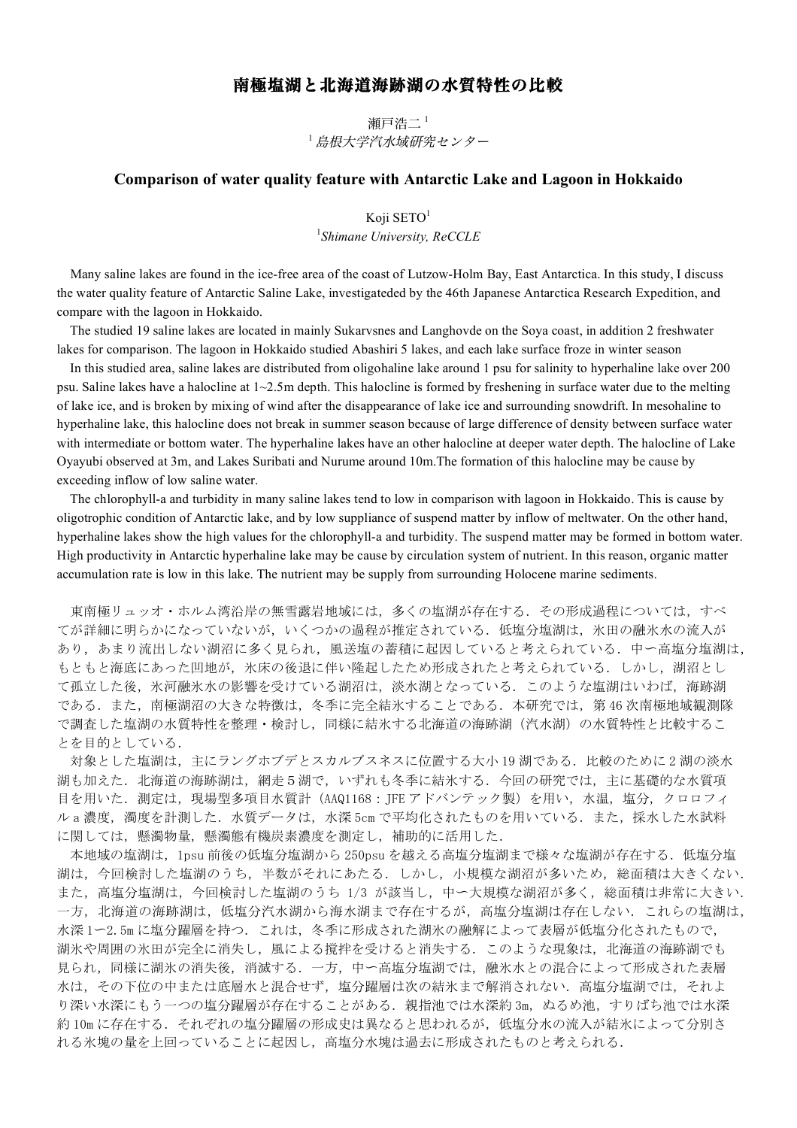## 南極塩湖と北海道海跡湖の水質特性の比較

瀬戸浩二<sup>1</sup> <sup>1</sup> 島根大学汽水域研究センター

## **Comparison of water quality feature with Antarctic Lake and Lagoon in Hokkaido**

Koji SETO<sup>1</sup> 1 *Shimane University, ReCCLE*

 Many saline lakes are found in the ice-free area of the coast of Lutzow-Holm Bay, East Antarctica. In this study, I discuss the water quality feature of Antarctic Saline Lake, investigateded by the 46th Japanese Antarctica Research Expedition, and compare with the lagoon in Hokkaido.

 The studied 19 saline lakes are located in mainly Sukarvsnes and Langhovde on the Soya coast, in addition 2 freshwater lakes for comparison. The lagoon in Hokkaido studied Abashiri 5 lakes, and each lake surface froze in winter season

 In this studied area, saline lakes are distributed from oligohaline lake around 1 psu for salinity to hyperhaline lake over 200 psu. Saline lakes have a halocline at  $1 \sim 2.5$ m depth. This halocline is formed by freshening in surface water due to the melting of lake ice, and is broken by mixing of wind after the disappearance of lake ice and surrounding snowdrift. In mesohaline to hyperhaline lake, this halocline does not break in summer season because of large difference of density between surface water with intermediate or bottom water. The hyperhaline lakes have an other halocline at deeper water depth. The halocline of Lake Oyayubi observed at 3m, and Lakes Suribati and Nurume around 10m.The formation of this halocline may be cause by exceeding inflow of low saline water.

 The chlorophyll-a and turbidity in many saline lakes tend to low in comparison with lagoon in Hokkaido. This is cause by oligotrophic condition of Antarctic lake, and by low suppliance of suspend matter by inflow of meltwater. On the other hand, hyperhaline lakes show the high values for the chlorophyll-a and turbidity. The suspend matter may be formed in bottom water. High productivity in Antarctic hyperhaline lake may be cause by circulation system of nutrient. In this reason, organic matter accumulation rate is low in this lake. The nutrient may be supply from surrounding Holocene marine sediments.

東南極リュッオ・ホルム湾沿岸の無雪露岩地域には、多くの塩湖が存在する. その形成過程については、すべ てが詳細に明らかになっていないが,いくつかの過程が推定されている.低塩分塩湖は,氷田の融氷水の流入が あり,あまり流出しない湖沼に多く見られ,風送塩の蓄積に起因していると考えられている.中~高塩分塩湖は, もともと海底にあった凹地が、氷床の後退に伴い隆起したため形成されたと考えられている。しかし、湖沼とし て孤立した後,氷河融氷水の影響を受けている湖沼は,淡水湖となっている.このような塩湖はいわば,海跡湖 である.また,南極湖沼の大きな特徴は,冬季に完全結氷することである.本研究では,第 46 次南極地域観測隊 で調査した塩湖の水質特性を整理·検討し、同様に結氷する北海道の海跡湖(汽水湖)の水質特性と比較するこ とを目的としている.

対象とした塩湖は、主にラングホブデとスカルブスネスに位置する大小 19 湖である. 比較のために2湖の淡水 湖も加えた.北海道の海跡湖は,網走5湖で,いずれも冬季に結氷する.今回の研究では,主に基礎的な水質項 目を用いた. 測定は、現場型多項目水質計 (AAQ1168: JFE アドバンテック製) を用い、水温, 塩分, クロロフィ ル a 濃度, 濁度を計測した. 水質データは, 水深 5cm で平均化されたものを用いている. また, 採水した水試料 に関しては、懸濁物量,懸濁態有機炭素濃度を測定し、補助的に活用した.

本地域の塩湖は、1psu 前後の低塩分塩湖から 250psu を越える高塩分塩湖まで様々な塩湖が存在する.低塩分塩 湖は,今回検討した塩湖のうち,半数がそれにあたる.しかし,小規模な湖沼が多いため,総面積は大きくない. また、高塩分塩湖は、今回検討した塩湖のうち 1/3 が該当し、中ー大規模な湖沼が多く、総面積は非常に大きい. 一方,北海道の海跡湖は,低塩分汽水湖から海水湖まで存在するが,高塩分塩湖は存在しない.これらの塩湖は, 水深 1~2.5m に塩分躍層を持つ. これは、冬季に形成された湖氷の融解によって表層が低塩分化されたもので, 湖氷や周囲の氷田が完全に消失し,風による撹拌を受けると消失する.このような現象は,北海道の海跡湖でも 見られ,同様に湖氷の消失後,消滅する.一方,中~高塩分塩湖では,融氷水との混合によって形成された表層 水は、その下位の中または底層水と混合せず、塩分躍層は次の結氷まで解消されない.高塩分塩湖では、それよ り深い水深にもう一つの塩分躍層が存在することがある.親指池では水深約 3m, ぬるめ池, すりばち池では水深 約10m に存在する. それぞれの塩分躍層の形成史は異なると思われるが、低塩分水の流入が結氷によって分別さ れる氷塊の量を上回っていることに起因し,高塩分水塊は過去に形成されたものと考えられる.